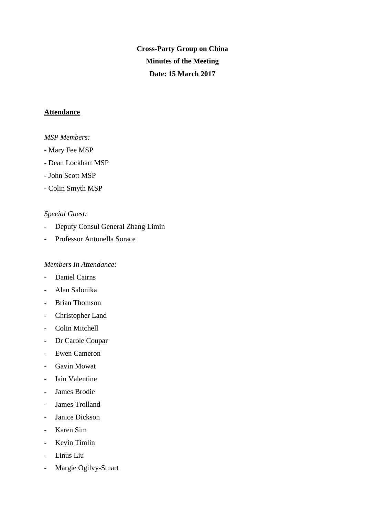**Cross-Party Group on China Minutes of the Meeting Date: 15 March 2017**

## **Attendance**

## *MSP Members:*

- *-* Mary Fee MSP
- Dean Lockhart MSP
- John Scott MSP
- Colin Smyth MSP

## *Special Guest:*

- Deputy Consul General Zhang Limin
- Professor Antonella Sorace

## *Members In Attendance:*

- Daniel Cairns
- Alan Salonika
- Brian Thomson
- Christopher Land
- Colin Mitchell
- Dr Carole Coupar
- Ewen Cameron
- Gavin Mowat
- Iain Valentine
- James Brodie
- James Trolland
- Janice Dickson
- Karen Sim
- Kevin Timlin
- Linus Liu
- Margie Ogilvy-Stuart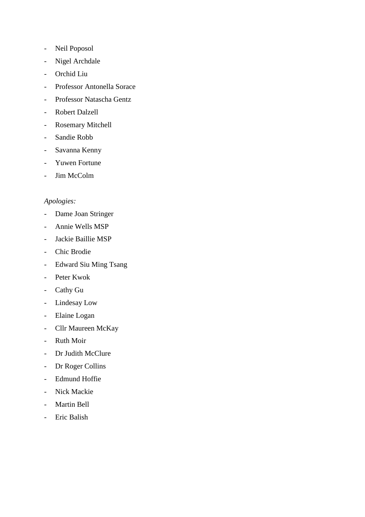- Neil Poposol
- Nigel Archdale
- Orchid Liu
- Professor Antonella Sorace
- Professor Natascha Gentz
- Robert Dalzell
- Rosemary Mitchell
- Sandie Robb
- Savanna Kenny
- Yuwen Fortune
- Jim McColm

# *Apologies:*

- Dame Joan Stringer
- Annie Wells MSP
- Jackie Baillie MSP
- Chic Brodie
- Edward Siu Ming Tsang
- Peter Kwok
- Cathy Gu
- Lindesay Low
- Elaine Logan
- Cllr Maureen McKay
- Ruth Moir
- Dr Judith McClure
- Dr Roger Collins
- Edmund Hoffie
- Nick Mackie
- Martin Bell
- Eric Balish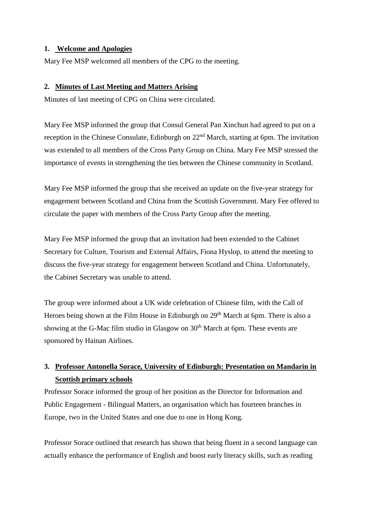## **1. Welcome and Apologies**

Mary Fee MSP welcomed all members of the CPG to the meeting.

## **2. Minutes of Last Meeting and Matters Arising**

Minutes of last meeting of CPG on China were circulated.

Mary Fee MSP informed the group that Consul General Pan Xinchun had agreed to put on a reception in the Chinese Consulate, Edinburgh on 22<sup>nd</sup> March, starting at 6pm. The invitation was extended to all members of the Cross Party Group on China. Mary Fee MSP stressed the importance of events in strengthening the ties between the Chinese community in Scotland.

Mary Fee MSP informed the group that she received an update on the five-year strategy for engagement between Scotland and China from the Scottish Government. Mary Fee offered to circulate the paper with members of the Cross Party Group after the meeting.

Mary Fee MSP informed the group that an invitation had been extended to the Cabinet Secretary for Culture, Tourism and External Affairs, Fiona Hyslop, to attend the meeting to discuss the five-year strategy for engagement between Scotland and China. Unfortunately, the Cabinet Secretary was unable to attend.

The group were informed about a UK wide celebration of Chinese film, with the Call of Heroes being shown at the Film House in Edinburgh on  $29<sup>th</sup>$  March at 6pm. There is also a showing at the G-Mac film studio in Glasgow on  $30<sup>th</sup>$  March at 6pm. These events are sponsored by Hainan Airlines.

# **3. Professor Antonella Sorace, University of Edinburgh: Presentation on Mandarin in Scottish primary schools**

Professor Sorace informed the group of her position as the Director for Information and Public Engagement - Bilingual Matters, an organisation which has fourteen branches in Europe, two in the United States and one due to one in Hong Kong.

Professor Sorace outlined that research has shown that being fluent in a second language can actually enhance the performance of English and boost early literacy skills, such as reading